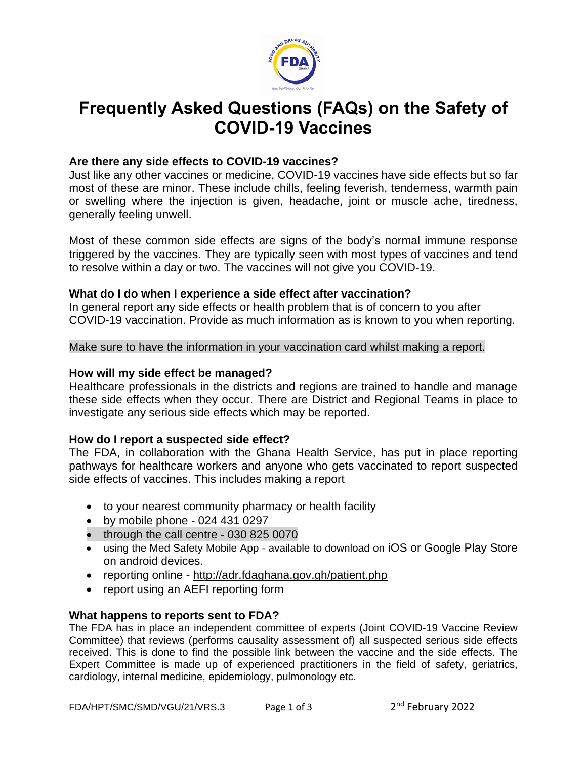

# **Frequently Asked Questions (FAQs) on the Safety of COVID-19 Vaccines**

# **Are there any side effects to COVID-19 vaccines?**

Just like any other vaccines or medicine, COVID-19 vaccines have side effects but so far most of these are minor. These include chills, feeling feverish, tenderness, warmth pain or swelling where the injection is given, headache, joint or muscle ache, tiredness, generally feeling unwell.

Most of these common side effects are signs of the body's normal immune response triggered by the vaccines. They are typically seen with most types of vaccines and tend to resolve within a day or two. The vaccines will not give you COVID-19.

## **What do I do when I experience a side effect after vaccination?**

In general report any side effects or health problem that is of concern to you after COVID-19 vaccination. Provide as much information as is known to you when reporting.

Make sure to have the information in your vaccination card whilst making a report.

#### **How will my side effect be managed?**

Healthcare professionals in the districts and regions are trained to handle and manage these side effects when they occur. There are District and Regional Teams in place to investigate any serious side effects which may be reported.

## **How do I report a suspected side effect?**

The FDA, in collaboration with the Ghana Health Service, has put in place reporting pathways for healthcare workers and anyone who gets vaccinated to report suspected side effects of vaccines. This includes making a report

- to your nearest community pharmacy or health facility
- by mobile phone 024 431 0297
- through the call centre 030 825 0070
- using the Med Safety Mobile App available to download on iOS or Google Play Store on android devices.
- reporting online <http://adr.fdaghana.gov.gh/patient.php>
- report using an AEFI reporting form

## **What happens to reports sent to FDA?**

The FDA has in place an independent committee of experts (Joint COVID-19 Vaccine Review Committee) that reviews (performs causality assessment of) all suspected serious side effects received. This is done to find the possible link between the vaccine and the side effects. The Expert Committee is made up of experienced practitioners in the field of safety, geriatrics, cardiology, internal medicine, epidemiology, pulmonology etc.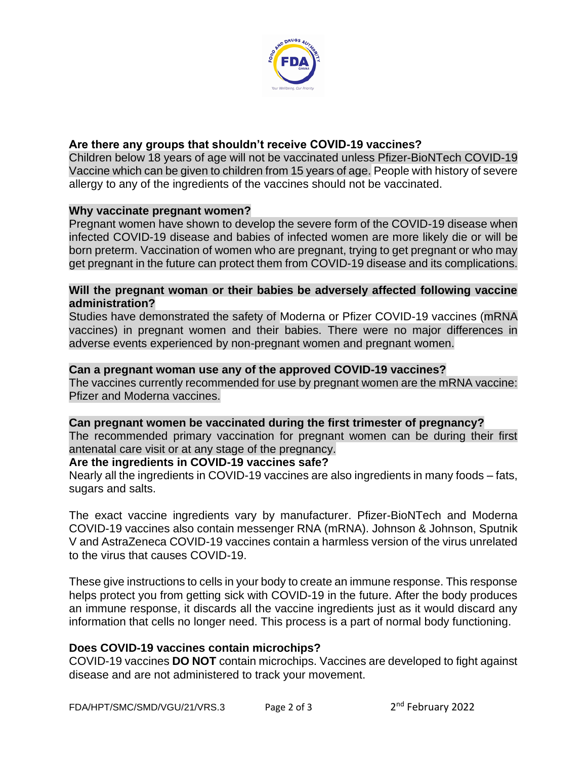

# **Are there any groups that shouldn't receive COVID-19 vaccines?**

Children below 18 years of age will not be vaccinated unless Pfizer-BioNTech COVID-19 Vaccine which can be given to children from 15 years of age. People with history of severe allergy to any of the ingredients of the vaccines should not be vaccinated.

## **Why vaccinate pregnant women?**

Pregnant women have shown to develop the severe form of the COVID-19 disease when infected COVID-19 disease and babies of infected women are more likely die or will be born preterm. Vaccination of women who are pregnant, trying to get pregnant or who may get pregnant in the future can protect them from COVID-19 disease and its complications.

## **Will the pregnant woman or their babies be adversely affected following vaccine administration?**

Studies have demonstrated the safety of Moderna or Pfizer COVID-19 vaccines (mRNA vaccines) in pregnant women and their babies. There were no major differences in adverse events experienced by non-pregnant women and pregnant women.

## **Can a pregnant woman use any of the approved COVID-19 vaccines?**

The vaccines currently recommended for use by pregnant women are the mRNA vaccine: Pfizer and Moderna vaccines.

## **Can pregnant women be vaccinated during the first trimester of pregnancy?**

The recommended primary vaccination for pregnant women can be during their first antenatal care visit or at any stage of the pregnancy.

## **Are the ingredients in COVID-19 vaccines safe?**

Nearly all the ingredients in COVID-19 vaccines are also ingredients in many foods – fats, sugars and salts.

The exact vaccine ingredients vary by manufacturer. Pfizer-BioNTech and Moderna COVID-19 vaccines also contain messenger RNA (mRNA). Johnson & Johnson, Sputnik V and AstraZeneca COVID-19 vaccines contain a harmless version of the virus unrelated to the virus that causes COVID-19.

These give instructions to cells in your body to create an immune response. This response helps protect you from getting sick with COVID-19 in the future. After the body produces an immune response, it discards all the vaccine ingredients just as it would discard any information that cells no longer need. This process is a part of normal body functioning.

## **Does COVID-19 vaccines contain microchips?**

COVID-19 vaccines **DO NOT** contain microchips. Vaccines are developed to fight against disease and are not administered to track your movement.